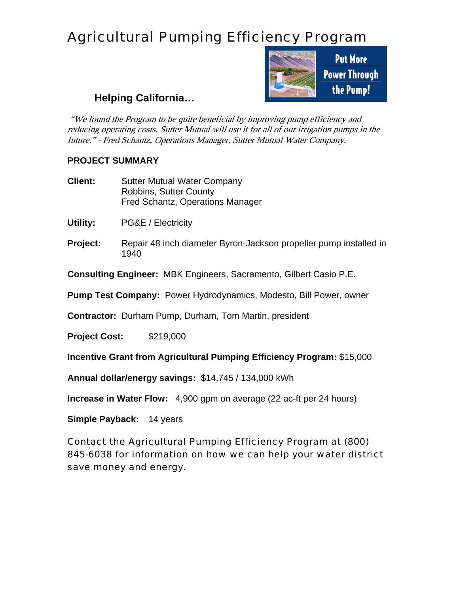## Agricultural Pumping Efficiency Program



## **Helping California…**

 "We found the Program to be quite beneficial by improving pump efficiency and reducing operating costs. Sutter Mutual will use it for all of our irrigation pumps in the future." - Fred Schantz, Operations Manager, Sutter Mutual Water Company.

## **PROJECT SUMMARY**

| <b>Client:</b> | <b>Sutter Mutual Water Company</b> |
|----------------|------------------------------------|
|                | <b>Robbins, Sutter County</b>      |
|                | Fred Schantz, Operations Manager   |

- **Utility:** PG&E / Electricity
- **Project:** Repair 48 inch diameter Byron-Jackson propeller pump installed in 1940

**Consulting Engineer:** MBK Engineers, Sacramento, Gilbert Casio P.E.

**Pump Test Company:** Power Hydrodynamics, Modesto, Bill Power, owner

**Contractor:** Durham Pump, Durham, Tom Martin, president

**Project Cost:** \$219,000

**Incentive Grant from Agricultural Pumping Efficiency Program:** \$15,000

**Annual dollar/energy savings:** \$14,745 / 134,000 kWh

**Increase in Water Flow:** 4,900 gpm on average (22 ac-ft per 24 hours)

**Simple Payback:** 14 years

Contact the Agricultural Pumping Efficiency Program at (800) 845-6038 for information on how we can help your water district save money and energy.